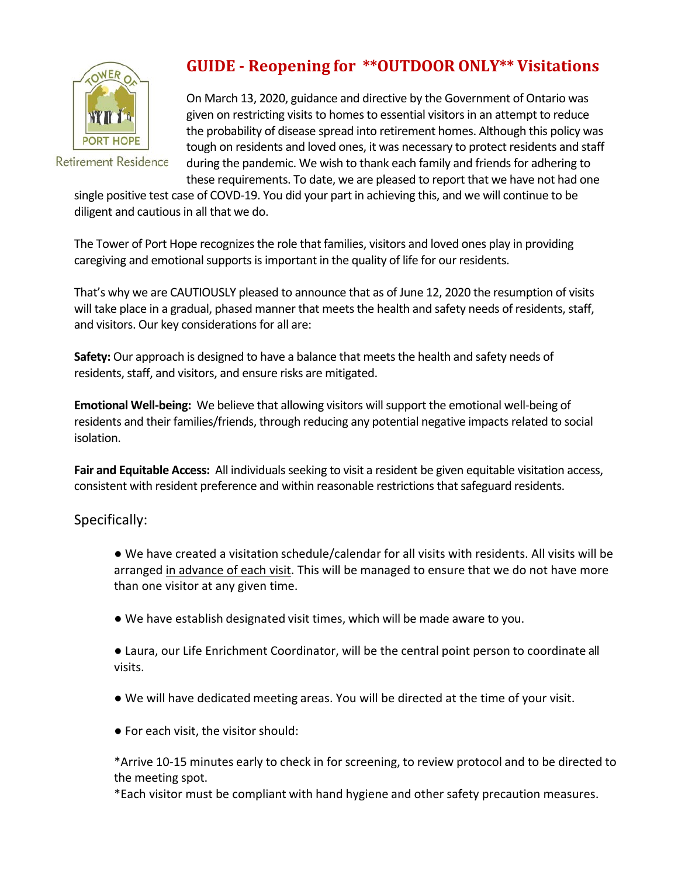

**Retirement Residence** 

## **GUIDE ‐ Reopening for \*\*OUTDOOR ONLY\*\* Visitations**

On March 13, 2020, guidance and directive by the Government of Ontario was given on restricting visits to homes to essential visitors in an attempt to reduce the probability of disease spread into retirement homes. Although this policy was tough on residents and loved ones, it was necessary to protect residents and staff during the pandemic. We wish to thank each family and friends for adhering to these requirements. To date, we are pleased to report that we have not had one

single positive test case of COVD‐19. You did your part in achieving this, and we will continue to be diligent and cautious in all that we do.

The Tower of Port Hope recognizes the role that families, visitors and loved ones play in providing caregiving and emotional supports is important in the quality of life for our residents.

That's why we are CAUTIOUSLY pleased to announce that as of June 12, 2020 the resumption of visits will take place in a gradual, phased manner that meets the health and safety needs of residents, staff, and visitors. Our key considerations for all are:

**Safety:** Our approach is designed to have a balance that meets the health and safety needs of residents, staff, and visitors, and ensure risks are mitigated.

**Emotional Well‐being:** We believe that allowing visitors will support the emotional well‐being of residents and their families/friends, through reducing any potential negative impacts related to social isolation.

**Fair and Equitable Access:** All individuals seeking to visit a resident be given equitable visitation access, consistent with resident preference and within reasonable restrictions that safeguard residents.

Specifically:

● We have created a visitation schedule/calendar for all visits with residents. All visits will be arranged in advance of each visit. This will be managed to ensure that we do not have more than one visitor at any given time.

- We have establish designated visit times, which will be made aware to you.
- Laura, our Life Enrichment Coordinator, will be the central point person to coordinate all visits.
- We will have dedicated meeting areas. You will be directed at the time of your visit.
- For each visit, the visitor should:

\*Arrive 10‐15 minutes early to check in for screening, to review protocol and to be directed to the meeting spot.

\*Each visitor must be compliant with hand hygiene and other safety precaution measures.